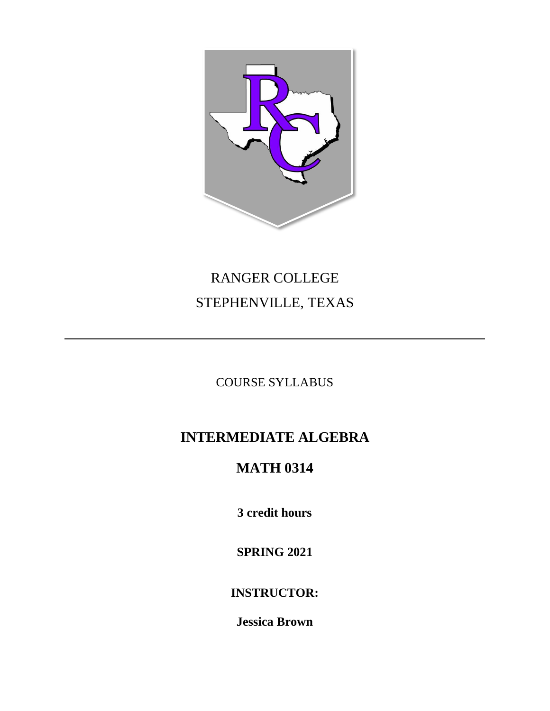

# RANGER COLLEGE STEPHENVILLE, TEXAS

COURSE SYLLABUS

## **INTERMEDIATE ALGEBRA**

## **MATH 0314**

**3 credit hours**

**SPRING 2021**

**INSTRUCTOR:**

**Jessica Brown**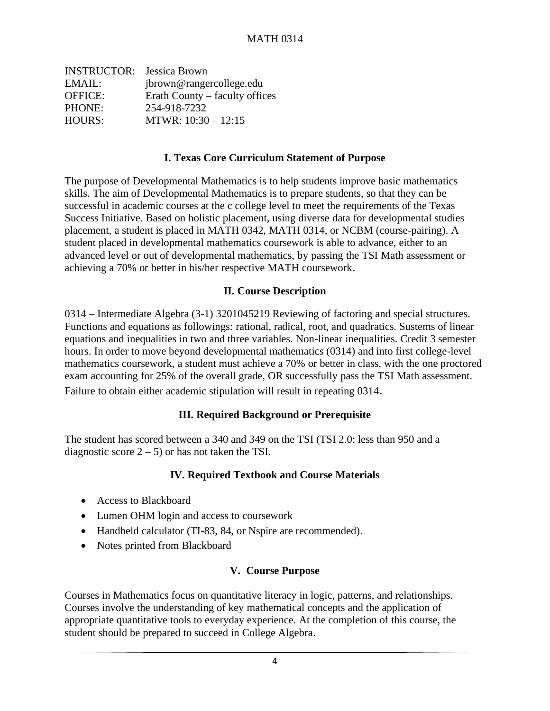| <b>INSTRUCTOR:</b> Jessica Brown |                                |
|----------------------------------|--------------------------------|
| EMAIL:                           | jbrown@rangercollege.edu       |
| <b>OFFICE:</b>                   | Erath County – faculty offices |
| PHONE:                           | 254-918-7232                   |
| <b>HOURS:</b>                    | MTWR: $10:30 - 12:15$          |

#### **I. Texas Core Curriculum Statement of Purpose**

The purpose of Developmental Mathematics is to help students improve basic mathematics skills. The aim of Developmental Mathematics is to prepare students, so that they can be successful in academic courses at the c college level to meet the requirements of the Texas Success Initiative. Based on holistic placement, using diverse data for developmental studies placement, a student is placed in MATH 0342, MATH 0314, or NCBM (course-pairing). A student placed in developmental mathematics coursework is able to advance, either to an advanced level or out of developmental mathematics, by passing the TSI Math assessment or achieving a 70% or better in his/her respective MATH coursework.

#### **II. Course Description**

0314 – Intermediate Algebra (3-1) 3201045219 Reviewing of factoring and special structures. Functions and equations as followings: rational, radical, root, and quadratics. Sustems of linear equations and inequalities in two and three variables. Non-linear inequalities. Credit 3 semester hours. In order to move beyond developmental mathematics (0314) and into first college-level mathematics coursework, a student must achieve a 70% or better in class, with the one proctored exam accounting for 25% of the overall grade, OR successfully pass the TSI Math assessment. Failure to obtain either academic stipulation will result in repeating 0314.

### **III. Required Background or Prerequisite**

The student has scored between a 340 and 349 on the TSI (TSI 2.0: less than 950 and a diagnostic score  $2 - 5$  or has not taken the TSI.

#### **IV. Required Textbook and Course Materials**

- Access to Blackboard
- Lumen OHM login and access to coursework
- Handheld calculator (TI-83, 84, or Nspire are recommended).
- Notes printed from Blackboard

#### **V. Course Purpose**

Courses in Mathematics focus on quantitative literacy in logic, patterns, and relationships. Courses involve the understanding of key mathematical concepts and the application of appropriate quantitative tools to everyday experience. At the completion of this course, the student should be prepared to succeed in College Algebra.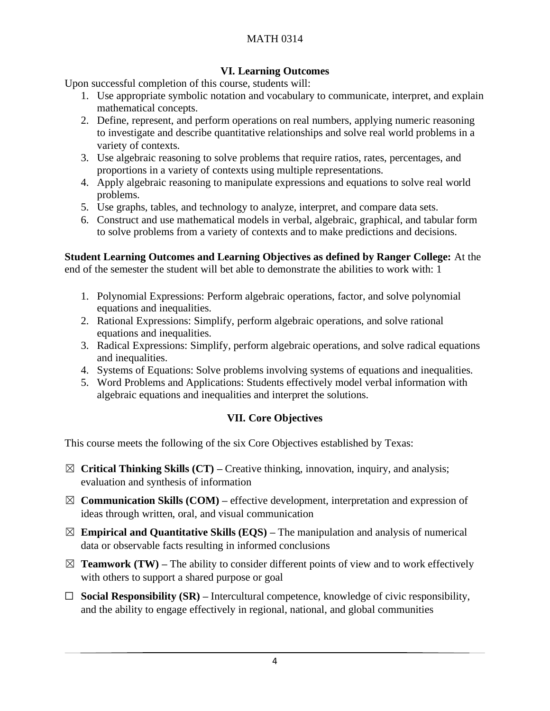## MATH 0314

## **VI. Learning Outcomes**

Upon successful completion of this course, students will:

- 1. Use appropriate symbolic notation and vocabulary to communicate, interpret, and explain mathematical concepts.
- 2. Define, represent, and perform operations on real numbers, applying numeric reasoning to investigate and describe quantitative relationships and solve real world problems in a variety of contexts.
- 3. Use algebraic reasoning to solve problems that require ratios, rates, percentages, and proportions in a variety of contexts using multiple representations.
- 4. Apply algebraic reasoning to manipulate expressions and equations to solve real world problems.
- 5. Use graphs, tables, and technology to analyze, interpret, and compare data sets.
- 6. Construct and use mathematical models in verbal, algebraic, graphical, and tabular form to solve problems from a variety of contexts and to make predictions and decisions.

## **Student Learning Outcomes and Learning Objectives as defined by Ranger College:** At the

end of the semester the student will bet able to demonstrate the abilities to work with: 1

- 1. Polynomial Expressions: Perform algebraic operations, factor, and solve polynomial equations and inequalities.
- 2. Rational Expressions: Simplify, perform algebraic operations, and solve rational equations and inequalities.
- 3. Radical Expressions: Simplify, perform algebraic operations, and solve radical equations and inequalities.
- 4. Systems of Equations: Solve problems involving systems of equations and inequalities.
- 5. Word Problems and Applications: Students effectively model verbal information with algebraic equations and inequalities and interpret the solutions.

## **VII. Core Objectives**

This course meets the following of the six Core Objectives established by Texas:

- ☒ **Critical Thinking Skills (CT) –** Creative thinking, innovation, inquiry, and analysis; evaluation and synthesis of information
- ☒ **Communication Skills (COM) –** effective development, interpretation and expression of ideas through written, oral, and visual communication
- $\boxtimes$  **Empirical and Quantitative Skills (EQS)** The manipulation and analysis of numerical data or observable facts resulting in informed conclusions
- $\boxtimes$  **Teamwork (TW)** The ability to consider different points of view and to work effectively with others to support a shared purpose or goal
- ☐ **Social Responsibility (SR) –** Intercultural competence, knowledge of civic responsibility, and the ability to engage effectively in regional, national, and global communities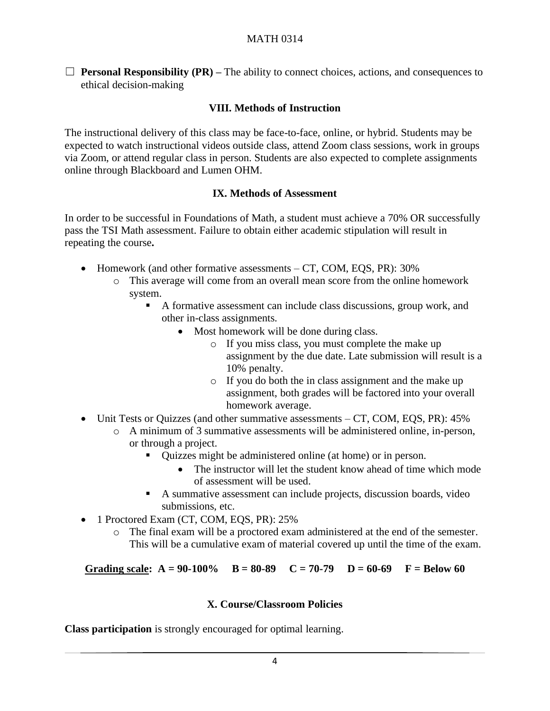### MATH 0314

 $\Box$  **Personal Responsibility (PR)** – The ability to connect choices, actions, and consequences to ethical decision-making

#### **VIII. Methods of Instruction**

The instructional delivery of this class may be face-to-face, online, or hybrid. Students may be expected to watch instructional videos outside class, attend Zoom class sessions, work in groups via Zoom, or attend regular class in person. Students are also expected to complete assignments online through Blackboard and Lumen OHM.

#### **IX. Methods of Assessment**

In order to be successful in Foundations of Math, a student must achieve a 70% OR successfully pass the TSI Math assessment. Failure to obtain either academic stipulation will result in repeating the course**.**

- Homework (and other formative assessments CT, COM, EQS, PR): 30%
	- o This average will come from an overall mean score from the online homework system.
		- A formative assessment can include class discussions, group work, and other in-class assignments.
			- Most homework will be done during class.
				- o If you miss class, you must complete the make up assignment by the due date. Late submission will result is a 10% penalty.
				- o If you do both the in class assignment and the make up assignment, both grades will be factored into your overall homework average.
- Unit Tests or Quizzes (and other summative assessments CT, COM, EQS, PR): 45%
	- o A minimum of 3 summative assessments will be administered online, in-person, or through a project.
		- Quizzes might be administered online (at home) or in person.
			- The instructor will let the student know ahead of time which mode of assessment will be used.
		- A summative assessment can include projects, discussion boards, video submissions, etc.
- 1 Proctored Exam (CT, COM, EQS, PR): 25%
	- o The final exam will be a proctored exam administered at the end of the semester. This will be a cumulative exam of material covered up until the time of the exam.

**Grading scale:**  $A = 90-100\%$   $B = 80-89$   $C = 70-79$   $D = 60-69$   $F = Below 60$ 

#### **X. Course/Classroom Policies**

**Class participation** is strongly encouraged for optimal learning.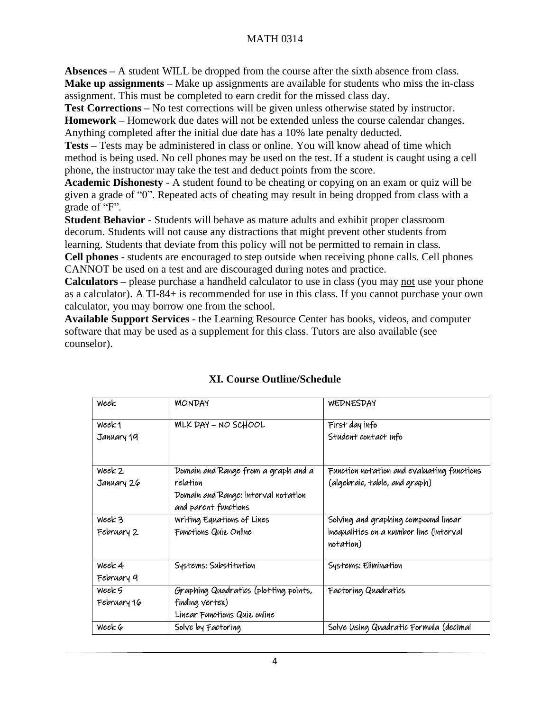## MATH 0314

**Absences –** A student WILL be dropped from the course after the sixth absence from class. **Make up assignments –** Make up assignments are available for students who miss the in-class assignment. This must be completed to earn credit for the missed class day.

**Test Corrections –** No test corrections will be given unless otherwise stated by instructor. **Homework –** Homework due dates will not be extended unless the course calendar changes. Anything completed after the initial due date has a 10% late penalty deducted.

**Tests –** Tests may be administered in class or online. You will know ahead of time which method is being used. No cell phones may be used on the test. If a student is caught using a cell phone, the instructor may take the test and deduct points from the score.

**Academic Dishonesty** - A student found to be cheating or copying on an exam or quiz will be given a grade of "0". Repeated acts of cheating may result in being dropped from class with a grade of "F".

**Student Behavior** - Students will behave as mature adults and exhibit proper classroom decorum. Students will not cause any distractions that might prevent other students from learning. Students that deviate from this policy will not be permitted to remain in class.

**Cell phones** - students are encouraged to step outside when receiving phone calls. Cell phones CANNOT be used on a test and are discouraged during notes and practice.

**Calculators –** please purchase a handheld calculator to use in class (you may not use your phone as a calculator). A TI-84+ is recommended for use in this class. If you cannot purchase your own calculator, you may borrow one from the school.

**Available Support Services** - the Learning Resource Center has books, videos, and computer software that may be used as a supplement for this class. Tutors are also available (see counselor).

| Week        | <b>MONDAY</b>                                                           | WEDNESDAY                                            |
|-------------|-------------------------------------------------------------------------|------------------------------------------------------|
| Week1       | MLK DAY - NO SCHOOL                                                     | First day info                                       |
| January 19  |                                                                         | Student contact info                                 |
| Week 2      | Domain and Range from a graph and a                                     | Function notation and evaluating functions           |
| January 26  | relation<br>Domain and Range: interval notation<br>and parent functions | (algebraic, table, and graph)                        |
| Week 3      | Writing Equations of Lines                                              | Solving and graphing compound linear                 |
| February 2  | Functions Quie Online                                                   | inequalities on a number line (interval<br>notation) |
| Week 4      | Systems: Substitution                                                   | Systems: Elimination                                 |
| February 9  |                                                                         |                                                      |
| Week 5      | Graphing Quadratics (plotting points,                                   | Factoring Quadratics                                 |
| February 16 | finding vertex)                                                         |                                                      |
|             | Linear Functions Quiz online                                            |                                                      |
| Week 6      | Solve by Factoring                                                      | Solve Using Quadratic Formula (decimal               |

## **XI. Course Outline/Schedule**